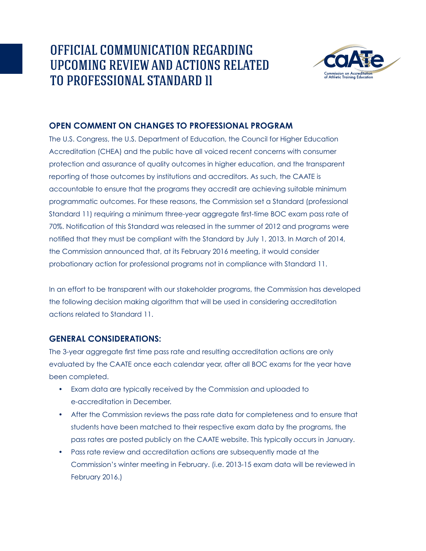# OFFICIAL COMMUNICATION REGARDING UPCOMING REVIEW AND ACTIONS RELATED TO PROFESSIONAL STANDARD 11



### **OPEN COMMENT ON CHANGES TO PROFESSIONAL PROGRAM**

The U.S. Congress, the U.S. Department of Education, the Council for Higher Education Accreditation (CHEA) and the public have all voiced recent concerns with consumer protection and assurance of quality outcomes in higher education, and the transparent reporting of those outcomes by institutions and accreditors. As such, the CAATE is accountable to ensure that the programs they accredit are achieving suitable minimum programmatic outcomes. For these reasons, the Commission set a Standard (professional Standard 11) requiring a minimum three-year aggregate first-time BOC exam pass rate of 70%. Notification of this Standard was released in the summer of 2012 and programs were notified that they must be compliant with the Standard by July 1, 2013. In March of 2014, the Commission announced that, at its February 2016 meeting, it would consider probationary action for professional programs not in compliance with Standard 11.

In an effort to be transparent with our stakeholder programs, the Commission has developed the following decision making algorithm that will be used in considering accreditation actions related to Standard 11.

## **GENERAL CONSIDERATIONS:**

The 3-year aggregate first time pass rate and resulting accreditation actions are only evaluated by the CAATE once each calendar year, after all BOC exams for the year have been completed.

- Exam data are typically received by the Commission and uploaded to e-accreditation in December.
- After the Commission reviews the pass rate data for completeness and to ensure that students have been matched to their respective exam data by the programs, the pass rates are posted publicly on the CAATE website. This typically occurs in January.
- Pass rate review and accreditation actions are subsequently made at the Commission's winter meeting in February. (i.e. 2013-15 exam data will be reviewed in February 2016.)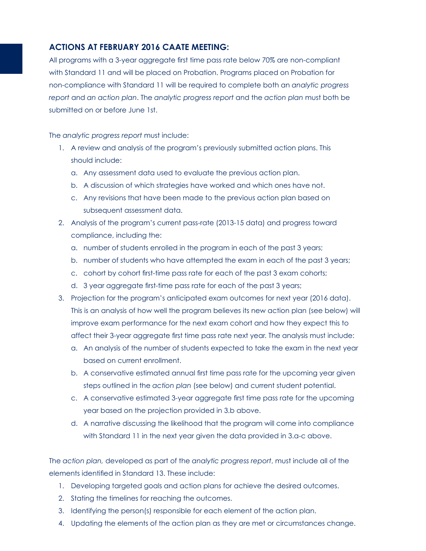### **ACTIONS AT FEBRUARY 2016 CAATE MEETING:**

All programs with a 3-year aggregate first time pass rate below 70% are non-compliant with Standard 11 and will be placed on Probation. Programs placed on Probation for non-compliance with Standard 11 will be required to complete both an *analytic progress report* and *an action plan*. The *analytic progress report* and the *action plan* must both be submitted on or before June 1st.

The *analytic progress report* must include:

- 1. A review and analysis of the program's previously submitted action plans. This should include:
	- a. Any assessment data used to evaluate the previous action plan.
	- b. A discussion of which strategies have worked and which ones have not.
	- c. Any revisions that have been made to the previous action plan based on subsequent assessment data.
- 2. Analysis of the program's current pass-rate (2013-15 data) and progress toward compliance, including the:
	- a. number of students enrolled in the program in each of the past 3 years;
	- b. number of students who have attempted the exam in each of the past 3 years;
	- c. cohort by cohort first-time pass rate for each of the past 3 exam cohorts;
	- d. 3 year aggregate first-time pass rate for each of the past 3 years;
- 3. Projection for the program's anticipated exam outcomes for next year (2016 data). This is an analysis of how well the program believes its new action plan (see below) will improve exam performance for the next exam cohort and how they expect this to affect their 3-year aggregate first time pass rate next year. The analysis must include:
	- a. An analysis of the number of students expected to take the exam in the next year based on current enrollment.
	- b. A conservative estimated annual first time pass rate for the upcoming year given steps outlined in the *action plan* (see below) and current student potential.
	- c. A conservative estimated 3-year aggregate first time pass rate for the upcoming year based on the projection provided in 3.b above.
	- d. A narrative discussing the likelihood that the program will come into compliance with Standard 11 in the next year given the data provided in 3.a-c above.

The *action plan,* developed as part of the *analytic progress report*, must include all of the elements identified in Standard 13. These include:

- 1. Developing targeted goals and action plans for achieve the desired outcomes.
- 2. Stating the timelines for reaching the outcomes.
- 3. Identifying the person(s) responsible for each element of the action plan.
- 4. Updating the elements of the action plan as they are met or circumstances change.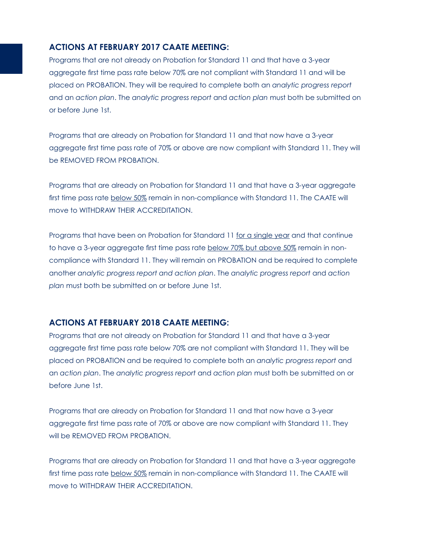#### **ACTIONS AT FEBRUARY 2017 CAATE MEETING:**

Programs that are not already on Probation for Standard 11 and that have a 3-year aggregate first time pass rate below 70% are not compliant with Standard 11 and will be placed on PROBATION. They will be required to complete both an *analytic progress report* and an *action plan*. The *analytic progress report* and *action plan* must both be submitted on or before June 1st.

Programs that are already on Probation for Standard 11 and that now have a 3-year aggregate first time pass rate of 70% or above are now compliant with Standard 11. They will be REMOVED FROM PROBATION.

Programs that are already on Probation for Standard 11 and that have a 3-year aggregate first time pass rate below 50% remain in non-compliance with Standard 11. The CAATE will move to WITHDRAW THEIR ACCREDITATION.

Programs that have been on Probation for Standard 11 for a single year and that continue to have a 3-year aggregate first time pass rate below 70% but above 50% remain in noncompliance with Standard 11. They will remain on PROBATION and be required to complete another *analytic progress report and action plan*. The *analytic progress report* and *action plan* must both be submitted on or before June 1st.

#### **ACTIONS AT FEBRUARY 2018 CAATE MEETING:**

Programs that are not already on Probation for Standard 11 and that have a 3-year aggregate first time pass rate below 70% are not compliant with Standard 11. They will be placed on PROBATION and be required to complete both an *analytic progress report* and an *action plan*. The *analytic progress report* and *action plan* must both be submitted on or before June 1st.

Programs that are already on Probation for Standard 11 and that now have a 3-year aggregate first time pass rate of 70% or above are now compliant with Standard 11. They will be REMOVED FROM PROBATION.

Programs that are already on Probation for Standard 11 and that have a 3-year aggregate first time pass rate below 50% remain in non-compliance with Standard 11. The CAATE will move to WITHDRAW THEIR ACCREDITATION.